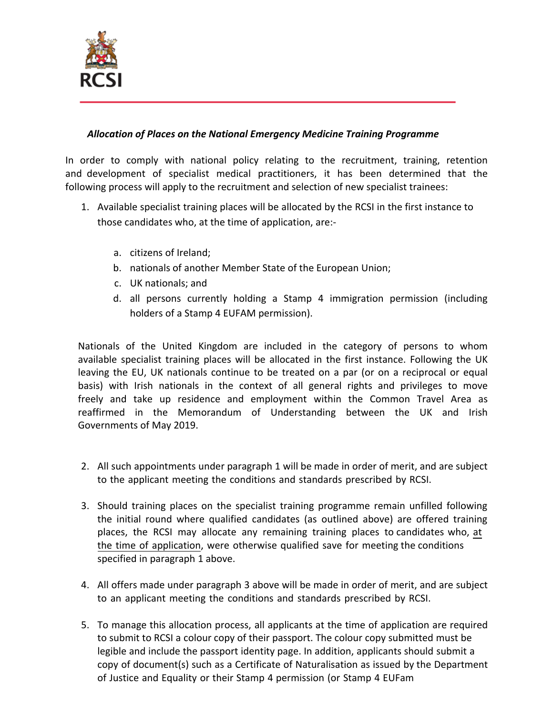

## *Allocation of Places on the National Emergency Medicine Training Programme*

In order to comply with national policy relating to the recruitment, training, retention and development of specialist medical practitioners, it has been determined that the following process will apply to the recruitment and selection of new specialist trainees:

- 1. Available specialist training places will be allocated by the RCSI in the first instance to those candidates who, at the time of application, are:
	- a. citizens of Ireland;
	- b. nationals of another Member State of the European Union;
	- c. UK nationals; and
	- d. all persons currently holding a Stamp 4 immigration permission (including holders of a Stamp 4 EUFAM permission).

Nationals of the United Kingdom are included in the category of persons to whom available specialist training places will be allocated in the first instance. Following the UK leaving the EU, UK nationals continue to be treated on a par (or on a reciprocal or equal basis) with Irish nationals in the context of all general rights and privileges to move freely and take up residence and employment within the Common Travel Area as reaffirmed in the Memorandum of Understanding between the UK and Irish Governments of May 2019.

- 2. All such appointments under paragraph 1 will be made in order of merit, and are subject to the applicant meeting the conditions and standards prescribed by RCSI.
- 3. Should training places on the specialist training programme remain unfilled following the initial round where qualified candidates (as outlined above) are offered training places, the RCSI may allocate any remaining training places to candidates who, at the time of application, were otherwise qualified save for meeting the conditions specified in paragraph 1 above.
- 4. All offers made under paragraph 3 above will be made in order of merit, and are subject to an applicant meeting the conditions and standards prescribed by RCSI.
- 5. To manage this allocation process, all applicants at the time of application are required to submit to RCSI a colour copy of their passport. The colour copy submitted must be legible and include the passport identity page. In addition, applicants should submit a copy of document(s) such as a Certificate of Naturalisation as issued by the Department of Justice and Equality or their Stamp 4 permission (or Stamp 4 EUFam